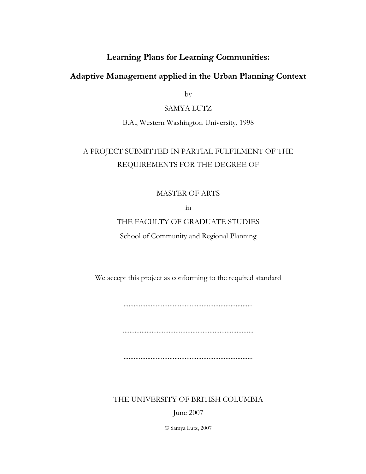## **Learning Plans for Learning Communities:**

## **Adaptive Management applied in the Urban Planning Context**

by

### SAMYA LUTZ

B.A., Western Washington University, 1998

# A PROJECT SUBMITTED IN PARTIAL FULFILMENT OF THE REQUIREMENTS FOR THE DEGREE OF

### MASTER OF ARTS

in

## THE FACULTY OF GRADUATE STUDIES

School of Community and Regional Planning

We accept this project as conforming to the required standard

............................................................................

.............................................................................

............................................................................

THE UNIVERSITY OF BRITISH COLUMBIA

June 2007

© Samya Lutz, 2007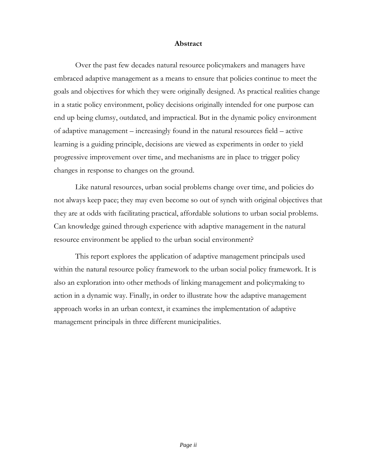#### **Abstract**

<span id="page-1-0"></span>Over the past few decades natural resource policymakers and managers have embraced adaptive management as a means to ensure that policies continue to meet the goals and objectives for which they were originally designed. As practical realities change in a static policy environment, policy decisions originally intended for one purpose can end up being clumsy, outdated, and impractical. But in the dynamic policy environment of adaptive management – increasingly found in the natural resources field – active learning is a guiding principle, decisions are viewed as experiments in order to yield progressive improvement over time, and mechanisms are in place to trigger policy changes in response to changes on the ground.

Like natural resources, urban social problems change over time, and policies do not always keep pace; they may even become so out of synch with original objectives that they are at odds with facilitating practical, affordable solutions to urban social problems. Can knowledge gained through experience with adaptive management in the natural resource environment be applied to the urban social environment?

This report explores the application of adaptive management principals used within the natural resource policy framework to the urban social policy framework. It is also an exploration into other methods of linking management and policymaking to action in a dynamic way. Finally, in order to illustrate how the adaptive management approach works in an urban context, it examines the implementation of adaptive management principals in three different municipalities.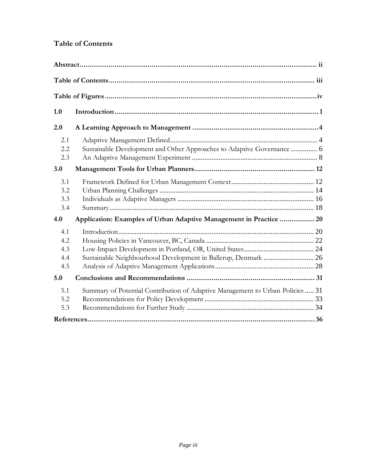## <span id="page-2-0"></span>**Table of Contents**

| Sustainable Development and Other Approaches to Adaptive Governance  6<br>Application: Examples of Urban Adaptive Management in Practice  20<br>Sustainable Neighbourhood Development in Ballerup, Denmark  26<br>Summary of Potential Contribution of Adaptive Management to Urban Policies  31 |
|--------------------------------------------------------------------------------------------------------------------------------------------------------------------------------------------------------------------------------------------------------------------------------------------------|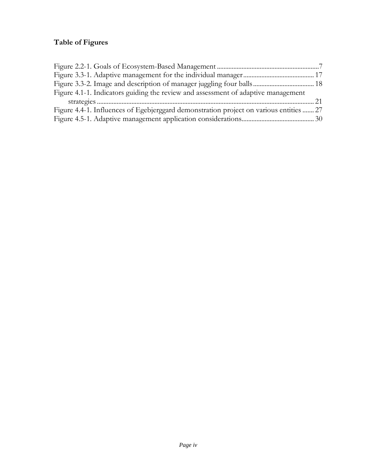## <span id="page-3-0"></span>**Table of Figures**

| Figure 4.1-1. Indicators guiding the review and assessment of adaptive management      |  |
|----------------------------------------------------------------------------------------|--|
|                                                                                        |  |
| Figure 4.4-1. Influences of Egebjerggard demonstration project on various entities  27 |  |
|                                                                                        |  |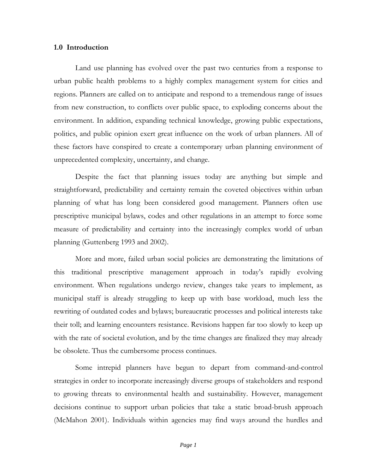#### <span id="page-4-0"></span>**1.0 Introduction**

Land use planning has evolved over the past two centuries from a response to urban public health problems to a highly complex management system for cities and regions. Planners are called on to anticipate and respond to a tremendous range of issues from new construction, to conflicts over public space, to exploding concerns about the environment. In addition, expanding technical knowledge, growing public expectations, politics, and public opinion exert great influence on the work of urban planners. All of these factors have conspired to create a contemporary urban planning environment of unprecedented complexity, uncertainty, and change.

Despite the fact that planning issues today are anything but simple and straightforward, predictability and certainty remain the coveted objectives within urban planning of what has long been considered good management. Planners often use prescriptive municipal bylaws, codes and other regulations in an attempt to force some measure of predictability and certainty into the increasingly complex world of urban planning (Guttenberg 1993 and 2002).

More and more, failed urban social policies are demonstrating the limitations of this traditional prescriptive management approach in today's rapidly evolving environment. When regulations undergo review, changes take years to implement, as municipal staff is already struggling to keep up with base workload, much less the rewriting of outdated codes and bylaws; bureaucratic processes and political interests take their toll; and learning encounters resistance. Revisions happen far too slowly to keep up with the rate of societal evolution, and by the time changes are finalized they may already be obsolete. Thus the cumbersome process continues.

Some intrepid planners have begun to depart from command-and-control strategies in order to incorporate increasingly diverse groups of stakeholders and respond to growing threats to environmental health and sustainability. However, management decisions continue to support urban policies that take a static broad-brush approach (McMahon 2001). Individuals within agencies may find ways around the hurdles and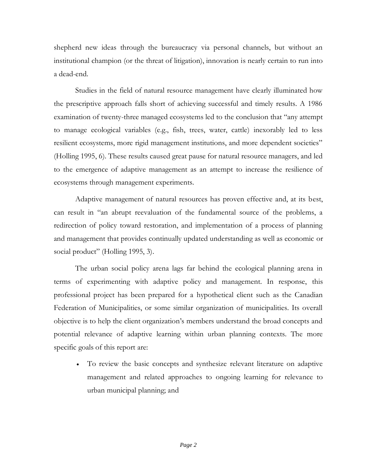shepherd new ideas through the bureaucracy via personal channels, but without an institutional champion (or the threat of litigation), innovation is nearly certain to run into a dead-end.

Studies in the field of natural resource management have clearly illuminated how the prescriptive approach falls short of achieving successful and timely results. A 1986 examination of twenty-three managed ecosystems led to the conclusion that "any attempt to manage ecological variables (e.g., fish, trees, water, cattle) inexorably led to less resilient ecosystems, more rigid management institutions, and more dependent societies" (Holling 1995, 6). These results caused great pause for natural resource managers, and led to the emergence of adaptive management as an attempt to increase the resilience of ecosystems through management experiments.

Adaptive management of natural resources has proven effective and, at its best, can result in "an abrupt reevaluation of the fundamental source of the problems, a redirection of policy toward restoration, and implementation of a process of planning and management that provides continually updated understanding as well as economic or social product" (Holling 1995, 3).

The urban social policy arena lags far behind the ecological planning arena in terms of experimenting with adaptive policy and management. In response, this professional project has been prepared for a hypothetical client such as the Canadian Federation of Municipalities, or some similar organization of municipalities. Its overall objective is to help the client organization's members understand the broad concepts and potential relevance of adaptive learning within urban planning contexts. The more specific goals of this report are:

• To review the basic concepts and synthesize relevant literature on adaptive management and related approaches to ongoing learning for relevance to urban municipal planning; and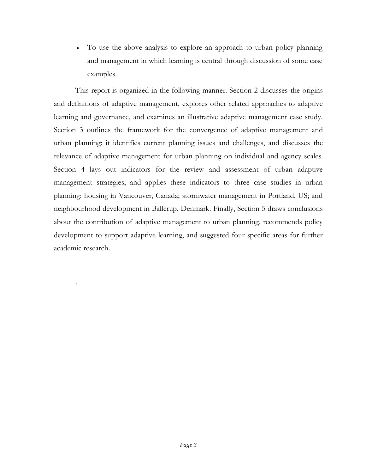• To use the above analysis to explore an approach to urban policy planning and management in which learning is central through discussion of some case examples.

This report is organized in the following manner. Section 2 discusses the origins and definitions of adaptive management, explores other related approaches to adaptive learning and governance, and examines an illustrative adaptive management case study. Section 3 outlines the framework for the convergence of adaptive management and urban planning: it identifies current planning issues and challenges, and discusses the relevance of adaptive management for urban planning on individual and agency scales. Section 4 lays out indicators for the review and assessment of urban adaptive management strategies, and applies these indicators to three case studies in urban planning: housing in Vancouver, Canada; stormwater management in Portland, US; and neighbourhood development in Ballerup, Denmark. Finally, Section 5 draws conclusions about the contribution of adaptive management to urban planning, recommends policy development to support adaptive learning, and suggested four specific areas for further academic research.

.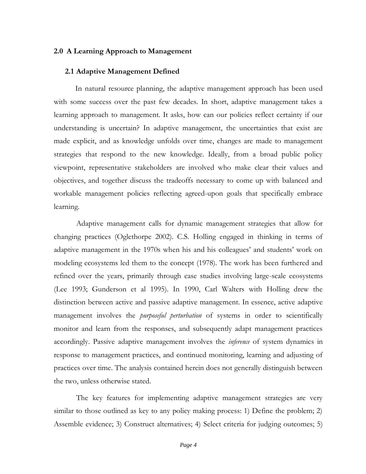#### <span id="page-7-0"></span>**2.0 A Learning Approach to Management**

#### <span id="page-7-1"></span>**2.1 Adaptive Management Defined**

In natural resource planning, the adaptive management approach has been used with some success over the past few decades. In short, adaptive management takes a learning approach to management. It asks, how can our policies reflect certainty if our understanding is uncertain? In adaptive management, the uncertainties that exist are made explicit, and as knowledge unfolds over time, changes are made to management strategies that respond to the new knowledge. Ideally, from a broad public policy viewpoint, representative stakeholders are involved who make clear their values and objectives, and together discuss the tradeoffs necessary to come up with balanced and workable management policies reflecting agreed-upon goals that specifically embrace learning.

Adaptive management calls for dynamic management strategies that allow for changing practices (Oglethorpe 2002). C.S. Holling engaged in thinking in terms of adaptive management in the 1970s when his and his colleagues' and students' work on modeling ecosystems led them to the concept (1978). The work has been furthered and refined over the years, primarily through case studies involving large-scale ecosystems (Lee 1993; Gunderson et al 1995). In 1990, Carl Walters with Holling drew the distinction between active and passive adaptive management. In essence, active adaptive management involves the *purposeful perturbation* of systems in order to scientifically monitor and learn from the responses, and subsequently adapt management practices accordingly. Passive adaptive management involves the *inference* of system dynamics in response to management practices, and continued monitoring, learning and adjusting of practices over time. The analysis contained herein does not generally distinguish between the two, unless otherwise stated.

The key features for implementing adaptive management strategies are very similar to those outlined as key to any policy making process: 1) Define the problem; 2) Assemble evidence; 3) Construct alternatives; 4) Select criteria for judging outcomes; 5)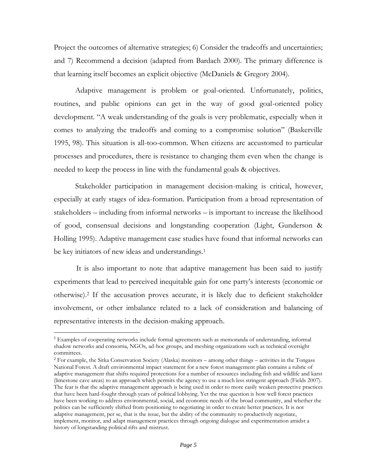Project the outcomes of alternative strategies; 6) Consider the tradeoffs and uncertainties; and 7) Recommend a decision (adapted from Bardach 2000). The primary difference is that learning itself becomes an explicit objective (McDaniels & Gregory 2004).

Adaptive management is problem or goal-oriented. Unfortunately, politics, routines, and public opinions can get in the way of good goal-oriented policy development. "A weak understanding of the goals is very problematic, especially when it comes to analyzing the tradeoffs and coming to a compromise solution" (Baskerville 1995, 98). This situation is all-too-common. When citizens are accustomed to particular processes and procedures, there is resistance to changing them even when the change is needed to keep the process in line with the fundamental goals & objectives.

Stakeholder participation in management decision-making is critical, however, especially at early stages of idea-formation. Participation from a broad representation of stakeholders – including from informal networks – is important to increase the likelihood of good, consensual decisions and longstanding cooperation (Light, Gunderson & Holling 1995). Adaptive management case studies have found that informal networks can be key initiators of new ideas and understandings.<sup>1</sup>

It is also important to note that adaptive management has been said to justify experiments that lead to perceived inequitable gain for one party's interests (economic or otherwise).<sup>2</sup> If the accusation proves accurate, it is likely due to deficient stakeholder involvement, or other imbalance related to a lack of consideration and balancing of representative interests in the decision-making approach.

<sup>&</sup>lt;sup>1</sup> Examples of cooperating networks include formal agreements such as memoranda of understanding, informal shadow networks and consortia, NGOs, ad-hoc groups, and meshing organizations such as technical oversight committees.

<sup>2</sup> For example, the Sitka Conservation Society (Alaska) monitors – among other things – activities in the Tongass National Forest. A draft environmental impact statement for a new forest management plan contains a rubric of adaptive management that shifts required protections for a number of resources including fish and wildlife and karst (limestone cave areas) to an approach which permits the agency to use a much less stringent approach (Fields 2007). The fear is that the adaptive management approach is being used in order to more easily weaken protective practices that have been hard-fought through years of political lobbying. Yet the true question is how well forest practices have been working to address environmental, social, and economic needs of the broad community, and whether the politics can be sufficiently shifted from positioning to negotiating in order to create better practices. It is not adaptive management, per se, that is the issue, but the ability of the community to productively negotiate, implement, monitor, and adapt management practices through ongoing dialogue and experimentation amidst a history of longstanding political rifts and mistrust.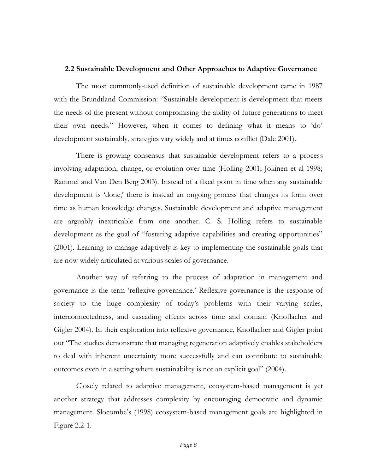#### <span id="page-9-0"></span>**2.2 Sustainable Development and Other Approaches to Adaptive Governance**

The most commonly-used definition of sustainable development came in 1987 with the Brundtland Commission: "Sustainable development is development that meets the needs of the present without compromising the ability of future generations to meet their own needs." However, when it comes to defining what it means to 'do' development sustainably, strategies vary widely and at times conflict (Dale 2001).

There is growing consensus that sustainable development refers to a process involving adaptation, change, or evolution over time (Holling 2001; Jokinen et al 1998; Rammel and Van Den Berg 2003). Instead of a fixed point in time when any sustainable development is 'done,' there is instead an ongoing process that changes its form over time as human knowledge changes. Sustainable development and adaptive management are arguably inextricable from one another. C. S. Holling refers to sustainable development as the goal of "fostering adaptive capabilities and creating opportunities" (2001). Learning to manage adaptively is key to implementing the sustainable goals that are now widely articulated at various scales of governance.

Another way of referring to the process of adaptation in management and governance is the term 'reflexive governance.' Reflexive governance is the response of society to the huge complexity of today's problems with their varying scales, interconnectedness, and cascading effects across time and domain (Knoflacher and Gigler 2004). In their exploration into reflexive governance, Knoflacher and Gigler point out "The studies demonstrate that managing regeneration adaptively enables stakeholders to deal with inherent uncertainty more successfully and can contribute to sustainable outcomes even in a setting where sustainability is not an explicit goal" (2004).

Closely related to adaptive management, ecosystem-based management is yet another strategy that addresses complexity by encouraging democratic and dynamic management. Slocombe's (1998) ecosystem-based management goals are highlighted in Figure 2.2-1.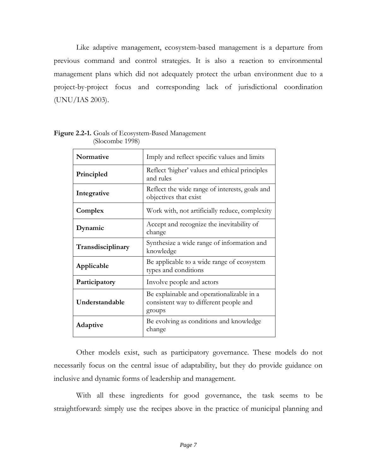Like adaptive management, ecosystem-based management is a departure from previous command and control strategies. It is also a reaction to environmental management plans which did not adequately protect the urban environment due to a project-by-project focus and corresponding lack of jurisdictional coordination (UNU/IAS 2003).

| Normative         | Imply and reflect specific values and limits                                                  |  |
|-------------------|-----------------------------------------------------------------------------------------------|--|
| Principled        | Reflect 'higher' values and ethical principles<br>and rules                                   |  |
| Integrative       | Reflect the wide range of interests, goals and<br>objectives that exist                       |  |
| Complex           | Work with, not artificially reduce, complexity                                                |  |
| Dynamic           | Accept and recognize the inevitability of<br>change                                           |  |
| Transdisciplinary | Synthesize a wide range of information and<br>knowledge                                       |  |
| Applicable        | Be applicable to a wide range of ecosystem<br>types and conditions                            |  |
| Participatory     | Involve people and actors                                                                     |  |
| Understandable    | Be explainable and operationalizable in a<br>consistent way to different people and<br>groups |  |
| Adaptive          | Be evolving as conditions and knowledge<br>change                                             |  |

<span id="page-10-0"></span>**Figure 2.2-1.** Goals of Ecosystem-Based Management (Slocombe 1998)

Other models exist, such as participatory governance. These models do not necessarily focus on the central issue of adaptability, but they do provide guidance on inclusive and dynamic forms of leadership and management.

With all these ingredients for good governance, the task seems to be straightforward: simply use the recipes above in the practice of municipal planning and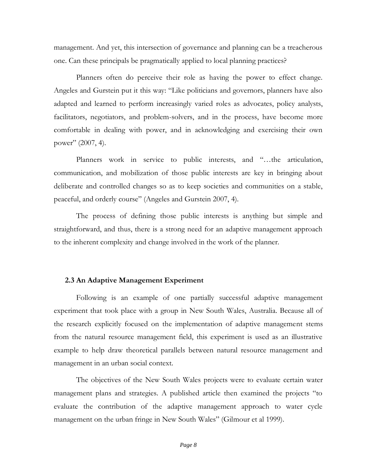management. And yet, this intersection of governance and planning can be a treacherous one. Can these principals be pragmatically applied to local planning practices?

Planners often do perceive their role as having the power to effect change. Angeles and Gurstein put it this way: "Like politicians and governors, planners have also adapted and learned to perform increasingly varied roles as advocates, policy analysts, facilitators, negotiators, and problem-solvers, and in the process, have become more comfortable in dealing with power, and in acknowledging and exercising their own power" (2007, 4).

Planners work in service to public interests, and "…the articulation, communication, and mobilization of those public interests are key in bringing about deliberate and controlled changes so as to keep societies and communities on a stable, peaceful, and orderly course" (Angeles and Gurstein 2007, 4).

The process of defining those public interests is anything but simple and straightforward, and thus, there is a strong need for an adaptive management approach to the inherent complexity and change involved in the work of the planner.

#### <span id="page-11-0"></span>**2.3 An Adaptive Management Experiment**

Following is an example of one partially successful adaptive management experiment that took place with a group in New South Wales, Australia. Because all of the research explicitly focused on the implementation of adaptive management stems from the natural resource management field, this experiment is used as an illustrative example to help draw theoretical parallels between natural resource management and management in an urban social context.

The objectives of the New South Wales projects were to evaluate certain water management plans and strategies. A published article then examined the projects "to evaluate the contribution of the adaptive management approach to water cycle management on the urban fringe in New South Wales" (Gilmour et al 1999).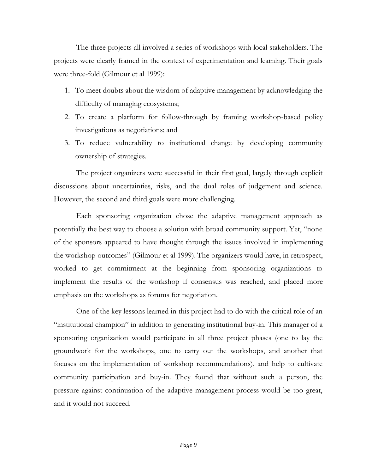The three projects all involved a series of workshops with local stakeholders. The projects were clearly framed in the context of experimentation and learning. Their goals were three-fold (Gilmour et al 1999):

- 1. To meet doubts about the wisdom of adaptive management by acknowledging the difficulty of managing ecosystems;
- 2. To create a platform for follow-through by framing workshop-based policy investigations as negotiations; and
- 3. To reduce vulnerability to institutional change by developing community ownership of strategies.

The project organizers were successful in their first goal, largely through explicit discussions about uncertainties, risks, and the dual roles of judgement and science. However, the second and third goals were more challenging.

Each sponsoring organization chose the adaptive management approach as potentially the best way to choose a solution with broad community support. Yet, "none of the sponsors appeared to have thought through the issues involved in implementing the workshop outcomes" (Gilmour et al 1999). The organizers would have, in retrospect, worked to get commitment at the beginning from sponsoring organizations to implement the results of the workshop if consensus was reached, and placed more emphasis on the workshops as forums for negotiation.

One of the key lessons learned in this project had to do with the critical role of an "institutional champion" in addition to generating institutional buy-in. This manager of a sponsoring organization would participate in all three project phases (one to lay the groundwork for the workshops, one to carry out the workshops, and another that focuses on the implementation of workshop recommendations), and help to cultivate community participation and buy-in. They found that without such a person, the pressure against continuation of the adaptive management process would be too great, and it would not succeed.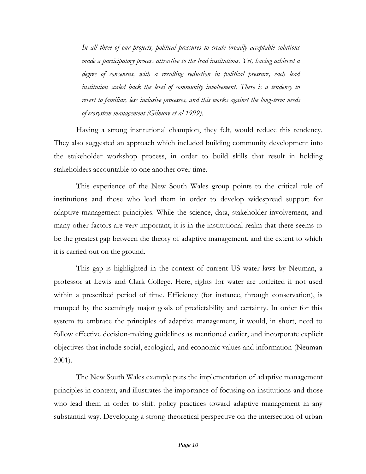*In all three of our projects, political pressures to create broadly acceptable solutions made a participatory process attractive to the lead institutions. Yet, having achieved a degree of consensus, with a resulting reduction in political pressure, each lead*  institution scaled back the level of community involvement. There is a tendency to *revert to familiar, less inclusive processes, and this works against the long-term needs of ecosystem management (Gilmore et al 1999).*

Having a strong institutional champion, they felt, would reduce this tendency. They also suggested an approach which included building community development into the stakeholder workshop process, in order to build skills that result in holding stakeholders accountable to one another over time.

This experience of the New South Wales group points to the critical role of institutions and those who lead them in order to develop widespread support for adaptive management principles. While the science, data, stakeholder involvement, and many other factors are very important, it is in the institutional realm that there seems to be the greatest gap between the theory of adaptive management, and the extent to which it is carried out on the ground.

This gap is highlighted in the context of current US water laws by Neuman, a professor at Lewis and Clark College. Here, rights for water are forfeited if not used within a prescribed period of time. Efficiency (for instance, through conservation), is trumped by the seemingly major goals of predictability and certainty. In order for this system to embrace the principles of adaptive management, it would, in short, need to follow effective decision-making guidelines as mentioned earlier, and incorporate explicit objectives that include social, ecological, and economic values and information (Neuman 2001).

The New South Wales example puts the implementation of adaptive management principles in context, and illustrates the importance of focusing on institutions and those who lead them in order to shift policy practices toward adaptive management in any substantial way. Developing a strong theoretical perspective on the intersection of urban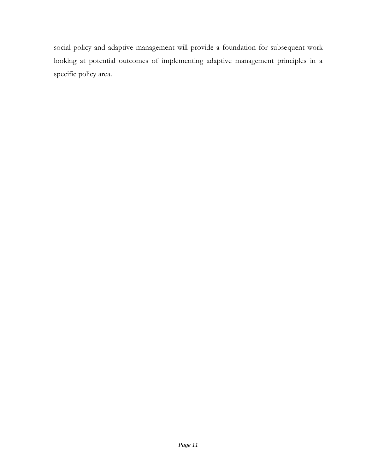social policy and adaptive management will provide a foundation for subsequent work looking at potential outcomes of implementing adaptive management principles in a specific policy area.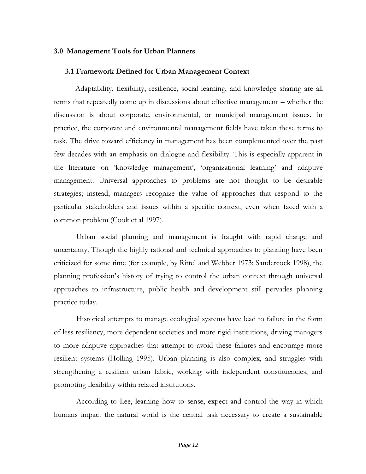#### <span id="page-15-0"></span>**3.0 Management Tools for Urban Planners**

#### <span id="page-15-1"></span>**3.1 Framework Defined for Urban Management Context**

Adaptability, flexibility, resilience, social learning, and knowledge sharing are all terms that repeatedly come up in discussions about effective management – whether the discussion is about corporate, environmental, or municipal management issues. In practice, the corporate and environmental management fields have taken these terms to task. The drive toward efficiency in management has been complemented over the past few decades with an emphasis on dialogue and flexibility. This is especially apparent in the literature on 'knowledge management', 'organizational learning' and adaptive management. Universal approaches to problems are not thought to be desirable strategies; instead, managers recognize the value of approaches that respond to the particular stakeholders and issues within a specific context, even when faced with a common problem (Cook et al 1997).

Urban social planning and management is fraught with rapid change and uncertainty. Though the highly rational and technical approaches to planning have been criticized for some time (for example, by Rittel and Webber 1973; Sandercock 1998), the planning profession's history of trying to control the urban context through universal approaches to infrastructure, public health and development still pervades planning practice today.

Historical attempts to manage ecological systems have lead to failure in the form of less resiliency, more dependent societies and more rigid institutions, driving managers to more adaptive approaches that attempt to avoid these failures and encourage more resilient systems (Holling 1995). Urban planning is also complex, and struggles with strengthening a resilient urban fabric, working with independent constituencies, and promoting flexibility within related institutions.

According to Lee, learning how to sense, expect and control the way in which humans impact the natural world is the central task necessary to create a sustainable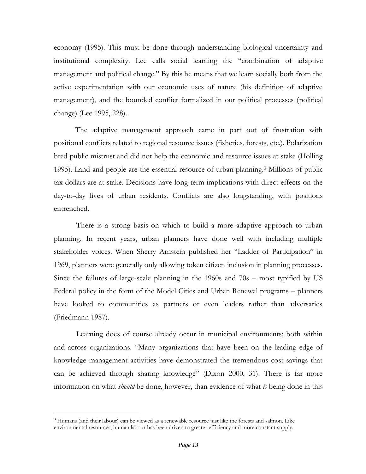economy (1995). This must be done through understanding biological uncertainty and institutional complexity. Lee calls social learning the "combination of adaptive management and political change." By this he means that we learn socially both from the active experimentation with our economic uses of nature (his definition of adaptive management), and the bounded conflict formalized in our political processes (political change) (Lee 1995, 228).

The adaptive management approach came in part out of frustration with positional conflicts related to regional resource issues (fisheries, forests, etc.). Polarization bred public mistrust and did not help the economic and resource issues at stake (Holling 1995). Land and people are the essential resource of urban planning.<sup>3</sup> Millions of public tax dollars are at stake. Decisions have long-term implications with direct effects on the day-to-day lives of urban residents. Conflicts are also longstanding, with positions entrenched.

There is a strong basis on which to build a more adaptive approach to urban planning. In recent years, urban planners have done well with including multiple stakeholder voices. When Sherry Arnstein published her "Ladder of Participation" in 1969, planners were generally only allowing token citizen inclusion in planning processes. Since the failures of large-scale planning in the 1960s and 70s – most typified by US Federal policy in the form of the Model Cities and Urban Renewal programs – planners have looked to communities as partners or even leaders rather than adversaries (Friedmann 1987).

Learning does of course already occur in municipal environments; both within and across organizations. "Many organizations that have been on the leading edge of knowledge management activities have demonstrated the tremendous cost savings that can be achieved through sharing knowledge" (Dixon 2000, 31). There is far more information on what *should* be done, however, than evidence of what *is* being done in this

<sup>&</sup>lt;sup>3</sup> Humans (and their labour) can be viewed as a renewable resource just like the forests and salmon. Like environmental resources, human labour has been driven to greater efficiency and more constant supply.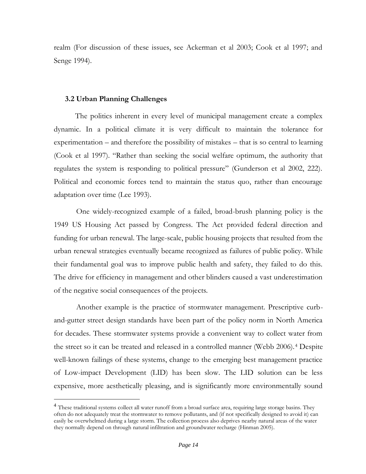realm (For discussion of these issues, see Ackerman et al 2003; Cook et al 1997; and Senge 1994).

#### <span id="page-17-0"></span>**3.2 Urban Planning Challenges**

The politics inherent in every level of municipal management create a complex dynamic. In a political climate it is very difficult to maintain the tolerance for experimentation – and therefore the possibility of mistakes – that is so central to learning (Cook et al 1997). "Rather than seeking the social welfare optimum, the authority that regulates the system is responding to political pressure" (Gunderson et al 2002, 222). Political and economic forces tend to maintain the status quo, rather than encourage adaptation over time (Lee 1993).

One widely-recognized example of a failed, broad-brush planning policy is the 1949 US Housing Act passed by Congress. The Act provided federal direction and funding for urban renewal. The large-scale, public housing projects that resulted from the urban renewal strategies eventually became recognized as failures of public policy. While their fundamental goal was to improve public health and safety, they failed to do this. The drive for efficiency in management and other blinders caused a vast underestimation of the negative social consequences of the projects.

Another example is the practice of stormwater management. Prescriptive curband-gutter street design standards have been part of the policy norm in North America for decades. These stormwater systems provide a convenient way to collect water from the street so it can be treated and released in a controlled manner (Webb 2006).<sup>4</sup> Despite well-known failings of these systems, change to the emerging best management practice of Low-impact Development (LID) has been slow. The LID solution can be less expensive, more aesthetically pleasing, and is significantly more environmentally sound

<sup>&</sup>lt;sup>4</sup> These traditional systems collect all water runoff from a broad surface area, requiring large storage basins. They often do not adequately treat the stormwater to remove pollutants, and (if not specifically designed to avoid it) can easily be overwhelmed during a large storm. The collection process also deprives nearby natural areas of the water they normally depend on through natural infiltration and groundwater recharge (Hinman 2005).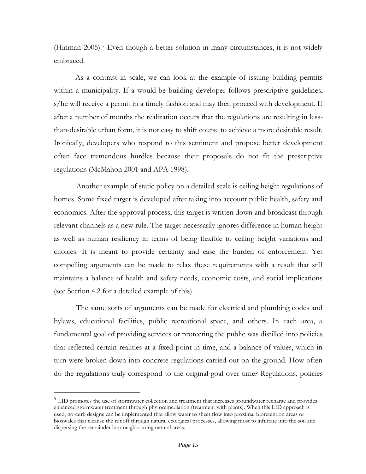(Hinman 2005).<sup>5</sup> Even though a better solution in many circumstances, it is not widely embraced.

As a contrast in scale, we can look at the example of issuing building permits within a municipality. If a would-be building developer follows prescriptive guidelines, s/he will receive a permit in a timely fashion and may then proceed with development. If after a number of months the realization occurs that the regulations are resulting in lessthan-desirable urban form, it is not easy to shift course to achieve a more desirable result. Ironically, developers who respond to this sentiment and propose better development often face tremendous hurdles because their proposals do not fit the prescriptive regulations (McMahon 2001 and APA 1998).

Another example of static policy on a detailed scale is ceiling height regulations of homes. Some fixed target is developed after taking into account public health, safety and economics. After the approval process, this target is written down and broadcast through relevant channels as a new rule. The target necessarily ignores difference in human height as well as human resiliency in terms of being flexible to ceiling height variations and choices. It is meant to provide certainty and ease the burden of enforcement. Yet compelling arguments can be made to relax these requirements with a result that still maintains a balance of health and safety needs, economic costs, and social implications (see Section 4.2 for a detailed example of this).

The same sorts of arguments can be made for electrical and plumbing codes and bylaws, educational facilities, public recreational space, and others. In each area, a fundamental goal of providing services or protecting the public was distilled into policies that reflected certain realities at a fixed point in time, and a balance of values, which in turn were broken down into concrete regulations carried out on the ground. How often do the regulations truly correspond to the original goal over time? Regulations, policies

<sup>&</sup>lt;sup>5</sup> LID promotes the use of stormwater collection and treatment that increases groundwater recharge and provides enhanced stormwater treatment through phytoremediation (treatment with plants). When this LID approach is used, no-curb designs can be implemented that allow water to sheet flow into proximal bioretention areas or bioswales that cleanse the runoff through natural ecological processes, allowing most to infiltrate into the soil and dispersing the remainder into neighbouring natural areas.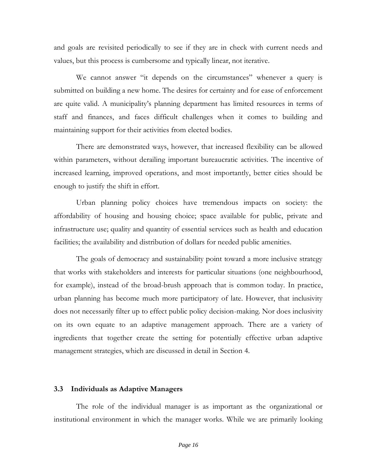and goals are revisited periodically to see if they are in check with current needs and values, but this process is cumbersome and typically linear, not iterative.

We cannot answer "it depends on the circumstances" whenever a query is submitted on building a new home. The desires for certainty and for ease of enforcement are quite valid. A municipality's planning department has limited resources in terms of staff and finances, and faces difficult challenges when it comes to building and maintaining support for their activities from elected bodies.

There are demonstrated ways, however, that increased flexibility can be allowed within parameters, without derailing important bureaucratic activities. The incentive of increased learning, improved operations, and most importantly, better cities should be enough to justify the shift in effort.

Urban planning policy choices have tremendous impacts on society: the affordability of housing and housing choice; space available for public, private and infrastructure use; quality and quantity of essential services such as health and education facilities; the availability and distribution of dollars for needed public amenities.

The goals of democracy and sustainability point toward a more inclusive strategy that works with stakeholders and interests for particular situations (one neighbourhood, for example), instead of the broad-brush approach that is common today. In practice, urban planning has become much more participatory of late. However, that inclusivity does not necessarily filter up to effect public policy decision-making. Nor does inclusivity on its own equate to an adaptive management approach. There are a variety of ingredients that together create the setting for potentially effective urban adaptive management strategies, which are discussed in detail in Section 4.

#### <span id="page-19-0"></span>**3.3 Individuals as Adaptive Managers**

The role of the individual manager is as important as the organizational or institutional environment in which the manager works. While we are primarily looking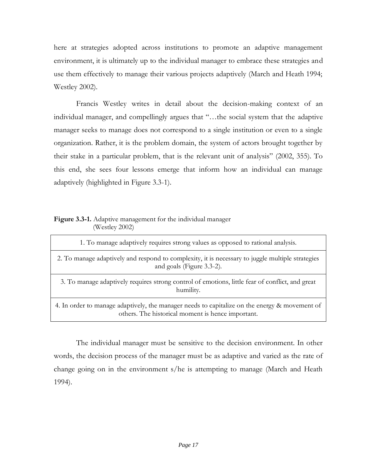here at strategies adopted across institutions to promote an adaptive management environment, it is ultimately up to the individual manager to embrace these strategies and use them effectively to manage their various projects adaptively (March and Heath 1994; Westley 2002).

Francis Westley writes in detail about the decision-making context of an individual manager, and compellingly argues that "…the social system that the adaptive manager seeks to manage does not correspond to a single institution or even to a single organization. Rather, it is the problem domain, the system of actors brought together by their stake in a particular problem, that is the relevant unit of analysis" (2002, 355). To this end, she sees four lessons emerge that inform how an individual can manage adaptively (highlighted in Figure 3.3-1).

## <span id="page-20-0"></span>**Figure 3.3-1.** Adaptive management for the individual manager (Westley 2002)

| 1. To manage adaptively requires strong values as opposed to rational analysis.                                                                    |
|----------------------------------------------------------------------------------------------------------------------------------------------------|
| 2. To manage adaptively and respond to complexity, it is necessary to juggle multiple strategies<br>and goals (Figure 3.3-2).                      |
| 3. To manage adaptively requires strong control of emotions, little fear of conflict, and great<br>humility.                                       |
| 4. In order to manage adaptively, the manager needs to capitalize on the energy & movement of<br>others. The historical moment is hence important. |

The individual manager must be sensitive to the decision environment. In other words, the decision process of the manager must be as adaptive and varied as the rate of change going on in the environment s/he is attempting to manage (March and Heath 1994).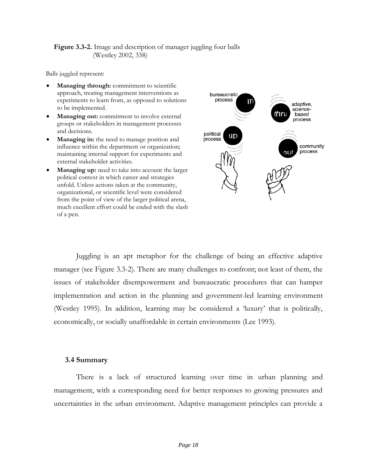#### <span id="page-21-1"></span>**Figure 3.3-2.** Image and description of manager juggling four balls (Westley 2002, 338)

Balls juggled represent:

- **Managing through:** commitment to scientific approach, treating management interventions as experiments to learn from, as opposed to solutions to be implemented.
- **Managing out:** commitment to involve external groups or stakeholders in management processes and decisions.
- **Managing in:** the need to manage position and influence within the department or organization; maintaining internal support for experiments and external stakeholder activities.
- **Managing up:** need to take into account the larger political context in which career and strategies unfold. Unless actions taken at the community, organizational, or scientific level were considered from the point of view of the larger political arena, much excellent effort could be ended with the slash of a pen.



Juggling is an apt metaphor for the challenge of being an effective adaptive manager (see Figure 3.3-2). There are many challenges to confront; not least of them, the issues of stakeholder disempowerment and bureaucratic procedures that can hamper implementation and action in the planning and government-led learning environment (Westley 1995). In addition, learning may be considered a 'luxury' that is politically, economically, or socially unaffordable in certain environments (Lee 1993).

#### <span id="page-21-0"></span>**3.4 Summary**

There is a lack of structured learning over time in urban planning and management, with a corresponding need for better responses to growing pressures and uncertainties in the urban environment. Adaptive management principles can provide a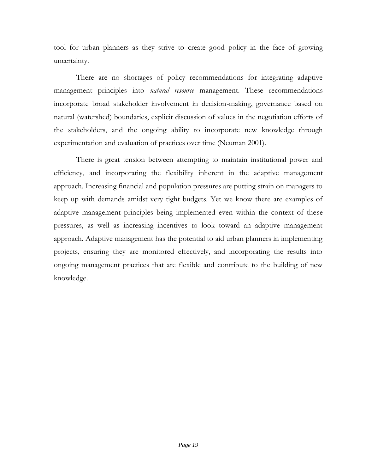tool for urban planners as they strive to create good policy in the face of growing uncertainty.

There are no shortages of policy recommendations for integrating adaptive management principles into *natural resource* management. These recommendations incorporate broad stakeholder involvement in decision-making, governance based on natural (watershed) boundaries, explicit discussion of values in the negotiation efforts of the stakeholders, and the ongoing ability to incorporate new knowledge through experimentation and evaluation of practices over time (Neuman 2001).

There is great tension between attempting to maintain institutional power and efficiency, and incorporating the flexibility inherent in the adaptive management approach. Increasing financial and population pressures are putting strain on managers to keep up with demands amidst very tight budgets. Yet we know there are examples of adaptive management principles being implemented even within the context of these pressures, as well as increasing incentives to look toward an adaptive management approach. Adaptive management has the potential to aid urban planners in implementing projects, ensuring they are monitored effectively, and incorporating the results into ongoing management practices that are flexible and contribute to the building of new knowledge.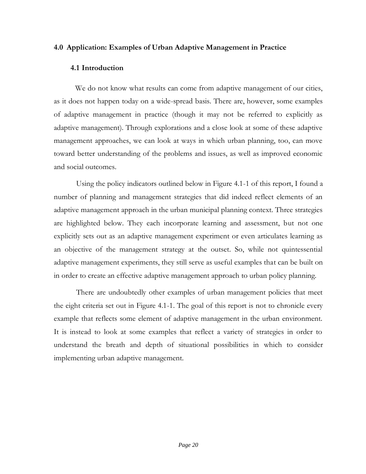## <span id="page-23-0"></span>**4.0 Application: Examples of Urban Adaptive Management in Practice**

### <span id="page-23-1"></span>**4.1 Introduction**

We do not know what results can come from adaptive management of our cities, as it does not happen today on a wide-spread basis. There are, however, some examples of adaptive management in practice (though it may not be referred to explicitly as adaptive management). Through explorations and a close look at some of these adaptive management approaches, we can look at ways in which urban planning, too, can move toward better understanding of the problems and issues, as well as improved economic and social outcomes.

Using the policy indicators outlined below in Figure 4.1-1 of this report, I found a number of planning and management strategies that did indeed reflect elements of an adaptive management approach in the urban municipal planning context. Three strategies are highlighted below. They each incorporate learning and assessment, but not one explicitly sets out as an adaptive management experiment or even articulates learning as an objective of the management strategy at the outset. So, while not quintessential adaptive management experiments, they still serve as useful examples that can be built on in order to create an effective adaptive management approach to urban policy planning.

There are undoubtedly other examples of urban management policies that meet the eight criteria set out in Figure 4.1-1. The goal of this report is not to chronicle every example that reflects some element of adaptive management in the urban environment. It is instead to look at some examples that reflect a variety of strategies in order to understand the breath and depth of situational possibilities in which to consider implementing urban adaptive management.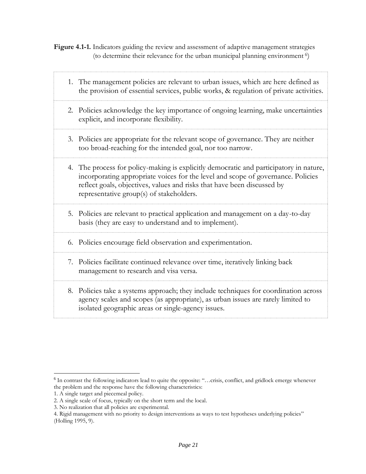<span id="page-24-0"></span>**Figure 4.1-1.** Indicators guiding the review and assessment of adaptive management strategies (to determine their relevance for the urban municipal planning environment<sup>6</sup>)

|  | 1. The management policies are relevant to urban issues, which are here defined as<br>the provision of essential services, public works, & regulation of private activities.                                                                                                                      |
|--|---------------------------------------------------------------------------------------------------------------------------------------------------------------------------------------------------------------------------------------------------------------------------------------------------|
|  | 2. Policies acknowledge the key importance of ongoing learning, make uncertainties<br>explicit, and incorporate flexibility.                                                                                                                                                                      |
|  | 3. Policies are appropriate for the relevant scope of governance. They are neither<br>too broad-reaching for the intended goal, nor too narrow.                                                                                                                                                   |
|  | 4. The process for policy-making is explicitly democratic and participatory in nature,<br>incorporating appropriate voices for the level and scope of governance. Policies<br>reflect goals, objectives, values and risks that have been discussed by<br>representative group(s) of stakeholders. |
|  | 5. Policies are relevant to practical application and management on a day-to-day<br>basis (they are easy to understand and to implement).                                                                                                                                                         |
|  | 6. Policies encourage field observation and experimentation.                                                                                                                                                                                                                                      |
|  | 7. Policies facilitate continued relevance over time, iteratively linking back<br>management to research and visa versa.                                                                                                                                                                          |
|  |                                                                                                                                                                                                                                                                                                   |

8. Policies take a systems approach; they include techniques for coordination across agency scales and scopes (as appropriate), as urban issues are rarely limited to isolated geographic areas or single-agency issues.

<sup>&</sup>lt;sup>6</sup> In contrast the following indicators lead to quite the opposite: "...crisis, conflict, and gridlock emerge whenever the problem and the response have the following characteristics:

<sup>1.</sup> A single target and piecemeal policy.

<sup>2.</sup> A single scale of focus, typically on the short term and the local.

<sup>3.</sup> No realization that all policies are experimental.

<sup>4.</sup> Rigid management with no priority to design interventions as ways to test hypotheses underlying policies" (Holling 1995, 9).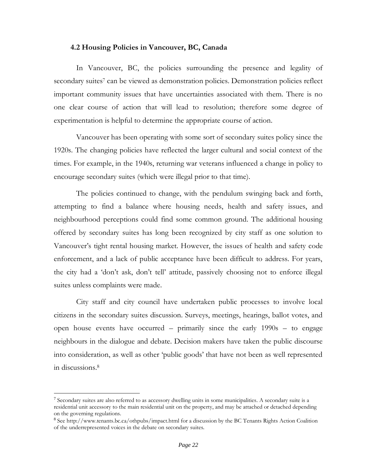#### <span id="page-25-0"></span>**4.2 Housing Policies in Vancouver, BC, Canada**

In Vancouver, BC, the policies surrounding the presence and legality of secondary suites<sup>7</sup> can be viewed as demonstration policies. Demonstration policies reflect important community issues that have uncertainties associated with them. There is no one clear course of action that will lead to resolution; therefore some degree of experimentation is helpful to determine the appropriate course of action.

Vancouver has been operating with some sort of secondary suites policy since the 1920s. The changing policies have reflected the larger cultural and social context of the times. For example, in the 1940s, returning war veterans influenced a change in policy to encourage secondary suites (which were illegal prior to that time).

The policies continued to change, with the pendulum swinging back and forth, attempting to find a balance where housing needs, health and safety issues, and neighbourhood perceptions could find some common ground. The additional housing offered by secondary suites has long been recognized by city staff as one solution to Vancouver's tight rental housing market. However, the issues of health and safety code enforcement, and a lack of public acceptance have been difficult to address. For years, the city had a 'don't ask, don't tell' attitude, passively choosing not to enforce illegal suites unless complaints were made.

City staff and city council have undertaken public processes to involve local citizens in the secondary suites discussion. Surveys, meetings, hearings, ballot votes, and open house events have occurred – primarily since the early 1990s – to engage neighbours in the dialogue and debate. Decision makers have taken the public discourse into consideration, as well as other 'public goods' that have not been as well represented in discussions.<sup>8</sup>

<sup>7</sup> Secondary suites are also referred to as accessory dwelling units in some municipalities. A secondary suite is a residential unit accessory to the main residential unit on the property, and may be attached or detached depending on the governing regulations.

<sup>8</sup> See http://www.tenants.bc.ca/othpubs/impact.html for a discussion by the BC Tenants Rights Action Coalition of the underrepresented voices in the debate on secondary suites.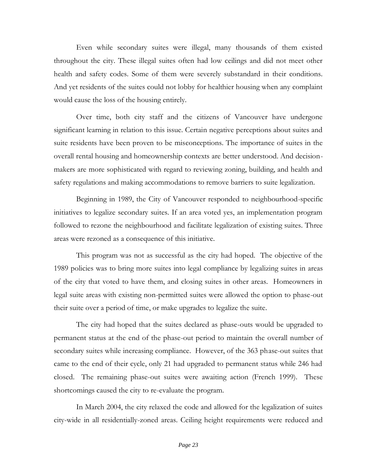Even while secondary suites were illegal, many thousands of them existed throughout the city. These illegal suites often had low ceilings and did not meet other health and safety codes. Some of them were severely substandard in their conditions. And yet residents of the suites could not lobby for healthier housing when any complaint would cause the loss of the housing entirely.

Over time, both city staff and the citizens of Vancouver have undergone significant learning in relation to this issue. Certain negative perceptions about suites and suite residents have been proven to be misconceptions. The importance of suites in the overall rental housing and homeownership contexts are better understood. And decisionmakers are more sophisticated with regard to reviewing zoning, building, and health and safety regulations and making accommodations to remove barriers to suite legalization.

Beginning in 1989, the City of Vancouver responded to neighbourhood-specific initiatives to legalize secondary suites. If an area voted yes, an implementation program followed to rezone the neighbourhood and facilitate legalization of existing suites. Three areas were rezoned as a consequence of this initiative.

This program was not as successful as the city had hoped. The objective of the 1989 policies was to bring more suites into legal compliance by legalizing suites in areas of the city that voted to have them, and closing suites in other areas. Homeowners in legal suite areas with existing non-permitted suites were allowed the option to phase-out their suite over a period of time, or make upgrades to legalize the suite.

The city had hoped that the suites declared as phase-outs would be upgraded to permanent status at the end of the phase-out period to maintain the overall number of secondary suites while increasing compliance. However, of the 363 phase-out suites that came to the end of their cycle, only 21 had upgraded to permanent status while 246 had closed. The remaining phase-out suites were awaiting action (French 1999). These shortcomings caused the city to re-evaluate the program.

In March 2004, the city relaxed the code and allowed for the legalization of suites city-wide in all residentially-zoned areas. Ceiling height requirements were reduced and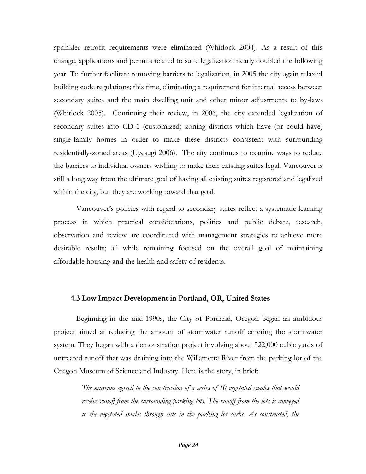sprinkler retrofit requirements were eliminated (Whitlock 2004). As a result of this change, applications and permits related to suite legalization nearly doubled the following year. To further facilitate removing barriers to legalization, in 2005 the city again relaxed building code regulations; this time, eliminating a requirement for internal access between secondary suites and the main dwelling unit and other minor adjustments to by-laws (Whitlock 2005). Continuing their review, in 2006, the city extended legalization of secondary suites into CD-1 (customized) zoning districts which have (or could have) single-family homes in order to make these districts consistent with surrounding residentially-zoned areas (Uyesugi 2006). The city continues to examine ways to reduce the barriers to individual owners wishing to make their existing suites legal. Vancouver is still a long way from the ultimate goal of having all existing suites registered and legalized within the city, but they are working toward that goal.

Vancouver's policies with regard to secondary suites reflect a systematic learning process in which practical considerations, politics and public debate, research, observation and review are coordinated with management strategies to achieve more desirable results; all while remaining focused on the overall goal of maintaining affordable housing and the health and safety of residents.

#### <span id="page-27-0"></span>**4.3 Low Impact Development in Portland, OR, United States**

Beginning in the mid-1990s, the City of Portland, Oregon began an ambitious project aimed at reducing the amount of stormwater runoff entering the stormwater system. They began with a demonstration project involving about 522,000 cubic yards of untreated runoff that was draining into the Willamette River from the parking lot of the Oregon Museum of Science and Industry. Here is the story, in brief:

> *The museum agreed to the construction of a series of 10 vegetated swales that would receive runoff from the surrounding parking lots. The runoff from the lots is conveyed to the vegetated swales through cuts in the parking lot curbs. As constructed, the*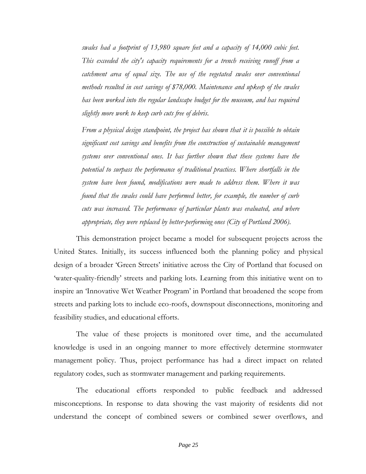*swales had a footprint of 13,980 square feet and a capacity of 14,000 cubic feet. This exceeded the city's capacity requirements for a trench receiving runoff from a catchment area of equal size. The use of the vegetated swales over conventional methods resulted in cost savings of \$78,000. Maintenance and upkeep of the swales has been worked into the regular landscape budget for the museum, and has required slightly more work to keep curb cuts free of debris.*

*From a physical design standpoint, the project has shown that it is possible to obtain significant cost savings and benefits from the construction of sustainable management systems over conventional ones. It has further shown that these systems have the potential to surpass the performance of traditional practices. Where shortfalls in the system have been found, modifications were made to address them. Where it was found that the swales could have performed better, for example, the number of curb cuts was increased. The performance of particular plants was evaluated, and where appropriate, they were replaced by better-performing ones (City of Portland 2006).*

This demonstration project became a model for subsequent projects across the United States. Initially, its success influenced both the planning policy and physical design of a broader 'Green Streets' initiative across the City of Portland that focused on 'water-quality-friendly' streets and parking lots. Learning from this initiative went on to inspire an 'Innovative Wet Weather Program' in Portland that broadened the scope from streets and parking lots to include eco-roofs, downspout disconnections, monitoring and feasibility studies, and educational efforts.

The value of these projects is monitored over time, and the accumulated knowledge is used in an ongoing manner to more effectively determine stormwater management policy. Thus, project performance has had a direct impact on related regulatory codes, such as stormwater management and parking requirements.

The educational efforts responded to public feedback and addressed misconceptions. In response to data showing the vast majority of residents did not understand the concept of combined sewers or combined sewer overflows, and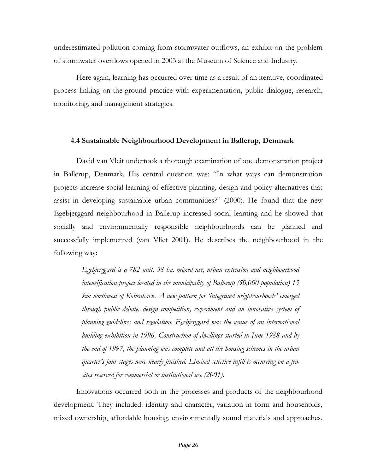underestimated pollution coming from stormwater outflows, an exhibit on the problem of stormwater overflows opened in 2003 at the Museum of Science and Industry.

Here again, learning has occurred over time as a result of an iterative, coordinated process linking on-the-ground practice with experimentation, public dialogue, research, monitoring, and management strategies.

#### <span id="page-29-0"></span>**4.4 Sustainable Neighbourhood Development in Ballerup, Denmark**

David van Vleit undertook a thorough examination of one demonstration project in Ballerup, Denmark. His central question was: "In what ways can demonstration projects increase social learning of effective planning, design and policy alternatives that assist in developing sustainable urban communities?" (2000). He found that the new Egebjerggard neighbourhood in Ballerup increased social learning and he showed that socially and environmentally responsible neighbourhoods can be planned and successfully implemented (van Vliet 2001). He describes the neighbourhood in the following way:

*Egebjerggard is a 782 unit, 38 ha. mixed use, urban extension and neighbourhood intensification project located in the municipality of Ballerup (50,000 population) 15 km northwest of Kobenhavn. A new pattern for 'integrated neighbourhoods' emerged through public debate, design competition, experiment and an innovative system of planning guidelines and regulation. Egebjerggard was the venue of an international building exhibition in 1996. Construction of dwellings started in June 1988 and by the end of 1997, the planning was complete and all the housing schemes in the urban quarter's four stages were nearly finished. Limited selective infill is occurring on a few sites reserved for commercial or institutional use (2001).*

Innovations occurred both in the processes and products of the neighbourhood development. They included: identity and character, variation in form and households, mixed ownership, affordable housing, environmentally sound materials and approaches,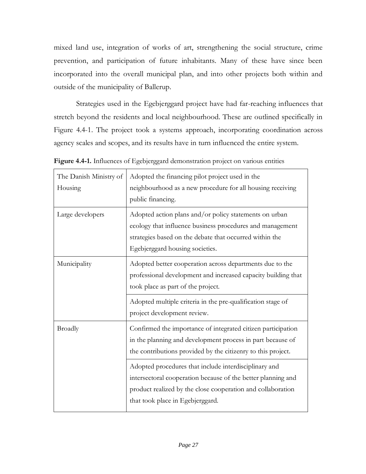mixed land use, integration of works of art, strengthening the social structure, crime prevention, and participation of future inhabitants. Many of these have since been incorporated into the overall municipal plan, and into other projects both within and outside of the municipality of Ballerup.

Strategies used in the Egebjerggard project have had far-reaching influences that stretch beyond the residents and local neighbourhood. These are outlined specifically in Figure 4.4-1. The project took a systems approach, incorporating coordination across agency scales and scopes, and its results have in turn influenced the entire system.

| The Danish Ministry of<br>Housing | Adopted the financing pilot project used in the<br>neighbourhood as a new procedure for all housing receiving<br>public financing.                                                                                       |
|-----------------------------------|--------------------------------------------------------------------------------------------------------------------------------------------------------------------------------------------------------------------------|
| Large developers                  | Adopted action plans and/or policy statements on urban<br>ecology that influence business procedures and management<br>strategies based on the debate that occurred within the<br>Egebjerggard housing societies.        |
| Municipality                      | Adopted better cooperation across departments due to the<br>professional development and increased capacity building that<br>took place as part of the project.                                                          |
|                                   | Adopted multiple criteria in the pre-qualification stage of<br>project development review.                                                                                                                               |
| <b>Broadly</b>                    | Confirmed the importance of integrated citizen participation<br>in the planning and development process in part because of<br>the contributions provided by the citizenry to this project.                               |
|                                   | Adopted procedures that include interdisciplinary and<br>intersectoral cooperation because of the better planning and<br>product realized by the close cooperation and collaboration<br>that took place in Egebjerggard. |

<span id="page-30-0"></span>**Figure 4.4-1.** Influences of Egebjerggard demonstration project on various entities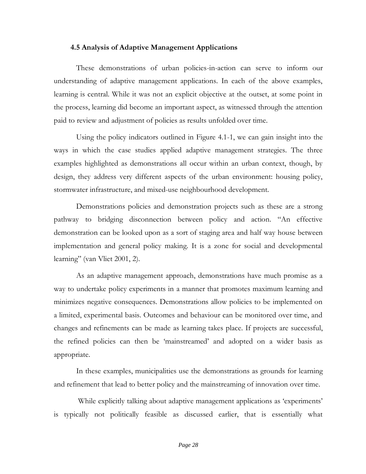#### <span id="page-31-0"></span>**4.5 Analysis of Adaptive Management Applications**

These demonstrations of urban policies-in-action can serve to inform our understanding of adaptive management applications. In each of the above examples, learning is central. While it was not an explicit objective at the outset, at some point in the process, learning did become an important aspect, as witnessed through the attention paid to review and adjustment of policies as results unfolded over time.

Using the policy indicators outlined in Figure 4.1-1, we can gain insight into the ways in which the case studies applied adaptive management strategies. The three examples highlighted as demonstrations all occur within an urban context, though, by design, they address very different aspects of the urban environment: housing policy, stormwater infrastructure, and mixed-use neighbourhood development.

Demonstrations policies and demonstration projects such as these are a strong pathway to bridging disconnection between policy and action. "An effective demonstration can be looked upon as a sort of staging area and half way house between implementation and general policy making. It is a zone for social and developmental learning" (van Vliet 2001, 2).

As an adaptive management approach, demonstrations have much promise as a way to undertake policy experiments in a manner that promotes maximum learning and minimizes negative consequences. Demonstrations allow policies to be implemented on a limited, experimental basis. Outcomes and behaviour can be monitored over time, and changes and refinements can be made as learning takes place. If projects are successful, the refined policies can then be 'mainstreamed' and adopted on a wider basis as appropriate.

In these examples, municipalities use the demonstrations as grounds for learning and refinement that lead to better policy and the mainstreaming of innovation over time.

While explicitly talking about adaptive management applications as 'experiments' is typically not politically feasible as discussed earlier, that is essentially what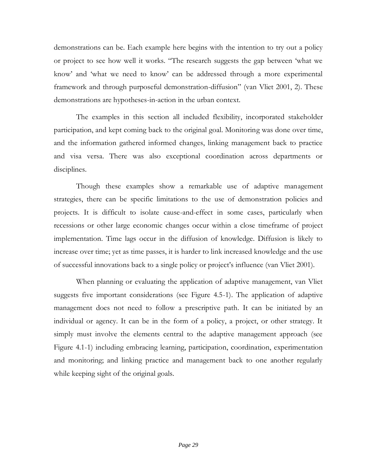demonstrations can be. Each example here begins with the intention to try out a policy or project to see how well it works. "The research suggests the gap between 'what we know' and 'what we need to know' can be addressed through a more experimental framework and through purposeful demonstration-diffusion" (van Vliet 2001, 2). These demonstrations are hypotheses-in-action in the urban context.

The examples in this section all included flexibility, incorporated stakeholder participation, and kept coming back to the original goal. Monitoring was done over time, and the information gathered informed changes, linking management back to practice and visa versa. There was also exceptional coordination across departments or disciplines.

Though these examples show a remarkable use of adaptive management strategies, there can be specific limitations to the use of demonstration policies and projects. It is difficult to isolate cause-and-effect in some cases, particularly when recessions or other large economic changes occur within a close timeframe of project implementation. Time lags occur in the diffusion of knowledge. Diffusion is likely to increase over time; yet as time passes, it is harder to link increased knowledge and the use of successful innovations back to a single policy or project's influence (van Vliet 2001).

When planning or evaluating the application of adaptive management, van Vliet suggests five important considerations (see Figure 4.5-1). The application of adaptive management does not need to follow a prescriptive path. It can be initiated by an individual or agency. It can be in the form of a policy, a project, or other strategy. It simply must involve the elements central to the adaptive management approach (see Figure 4.1-1) including embracing learning, participation, coordination, experimentation and monitoring; and linking practice and management back to one another regularly while keeping sight of the original goals.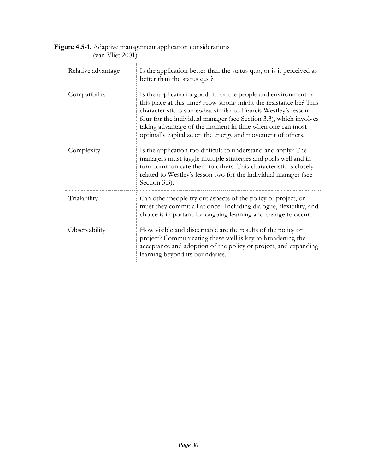<span id="page-33-0"></span>

| <b>Figure 4.5-1.</b> Adaptive management application considerations |  |
|---------------------------------------------------------------------|--|
| $\frac{1}{2}$ (van Vliet 2001)                                      |  |

| Relative advantage | Is the application better than the status quo, or is it perceived as<br>better than the status quo?                                                                                                                                                                                                                                                                                                   |
|--------------------|-------------------------------------------------------------------------------------------------------------------------------------------------------------------------------------------------------------------------------------------------------------------------------------------------------------------------------------------------------------------------------------------------------|
| Compatibility      | Is the application a good fit for the people and environment of<br>this place at this time? How strong might the resistance be? This<br>characteristic is somewhat similar to Francis Westley's lesson<br>four for the individual manager (see Section 3.3), which involves<br>taking advantage of the moment in time when one can most<br>optimally capitalize on the energy and movement of others. |
| Complexity         | Is the application too difficult to understand and apply? The<br>managers must juggle multiple strategies and goals well and in<br>turn communicate them to others. This characteristic is closely<br>related to Westley's lesson two for the individual manager (see<br>Section 3.3).                                                                                                                |
| Trialability       | Can other people try out aspects of the policy or project, or<br>must they commit all at once? Including dialogue, flexibility, and<br>choice is important for ongoing learning and change to occur.                                                                                                                                                                                                  |
| Observability      | How visible and discernable are the results of the policy or<br>project? Communicating these well is key to broadening the<br>acceptance and adoption of the policy or project, and expanding<br>learning beyond its boundaries.                                                                                                                                                                      |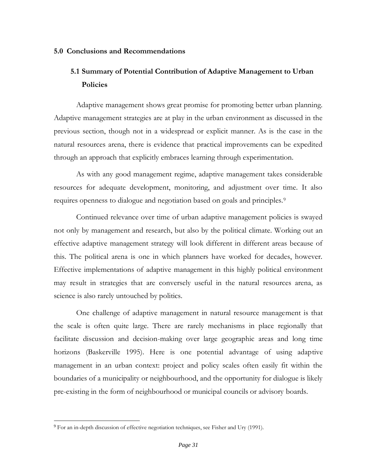#### <span id="page-34-0"></span>**5.0 Conclusions and Recommendations**

## <span id="page-34-1"></span>**5.1 Summary of Potential Contribution of Adaptive Management to Urban Policies**

Adaptive management shows great promise for promoting better urban planning. Adaptive management strategies are at play in the urban environment as discussed in the previous section, though not in a widespread or explicit manner. As is the case in the natural resources arena, there is evidence that practical improvements can be expedited through an approach that explicitly embraces learning through experimentation.

As with any good management regime, adaptive management takes considerable resources for adequate development, monitoring, and adjustment over time. It also requires openness to dialogue and negotiation based on goals and principles.<sup>9</sup>

Continued relevance over time of urban adaptive management policies is swayed not only by management and research, but also by the political climate. Working out an effective adaptive management strategy will look different in different areas because of this. The political arena is one in which planners have worked for decades, however. Effective implementations of adaptive management in this highly political environment may result in strategies that are conversely useful in the natural resources arena, as science is also rarely untouched by politics.

One challenge of adaptive management in natural resource management is that the scale is often quite large. There are rarely mechanisms in place regionally that facilitate discussion and decision-making over large geographic areas and long time horizons (Baskerville 1995). Here is one potential advantage of using adaptive management in an urban context: project and policy scales often easily fit within the boundaries of a municipality or neighbourhood, and the opportunity for dialogue is likely pre-existing in the form of neighbourhood or municipal councils or advisory boards.

<sup>&</sup>lt;sup>9</sup> For an in-depth discussion of effective negotiation techniques, see Fisher and Ury (1991).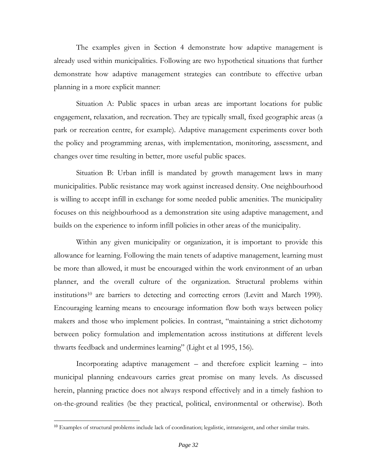The examples given in Section 4 demonstrate how adaptive management is already used within municipalities. Following are two hypothetical situations that further demonstrate how adaptive management strategies can contribute to effective urban planning in a more explicit manner:

Situation A: Public spaces in urban areas are important locations for public engagement, relaxation, and recreation. They are typically small, fixed geographic areas (a park or recreation centre, for example). Adaptive management experiments cover both the policy and programming arenas, with implementation, monitoring, assessment, and changes over time resulting in better, more useful public spaces.

Situation B: Urban infill is mandated by growth management laws in many municipalities. Public resistance may work against increased density. One neighbourhood is willing to accept infill in exchange for some needed public amenities. The municipality focuses on this neighbourhood as a demonstration site using adaptive management, and builds on the experience to inform infill policies in other areas of the municipality.

Within any given municipality or organization, it is important to provide this allowance for learning. Following the main tenets of adaptive management, learning must be more than allowed, it must be encouraged within the work environment of an urban planner, and the overall culture of the organization. Structural problems within institutions<sup>10</sup> are barriers to detecting and correcting errors (Levitt and March 1990). Encouraging learning means to encourage information flow both ways between policy makers and those who implement policies. In contrast, "maintaining a strict dichotomy between policy formulation and implementation across institutions at different levels thwarts feedback and undermines learning" (Light et al 1995, 156).

Incorporating adaptive management – and therefore explicit learning – into municipal planning endeavours carries great promise on many levels. As discussed herein, planning practice does not always respond effectively and in a timely fashion to on-the-ground realities (be they practical, political, environmental or otherwise). Both

<sup>&</sup>lt;sup>10</sup> Examples of structural problems include lack of coordination; legalistic, intransigent, and other similar traits.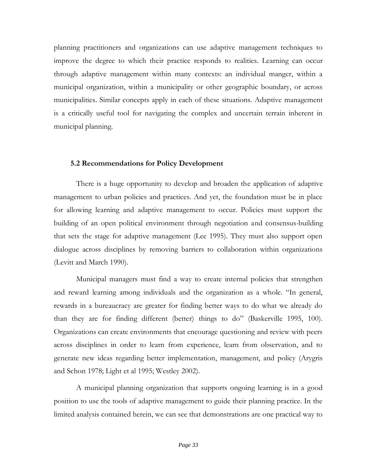planning practitioners and organizations can use adaptive management techniques to improve the degree to which their practice responds to realities. Learning can occur through adaptive management within many contexts: an individual manger, within a municipal organization, within a municipality or other geographic boundary, or across municipalities. Similar concepts apply in each of these situations. Adaptive management is a critically useful tool for navigating the complex and uncertain terrain inherent in municipal planning.

#### <span id="page-36-0"></span>**5.2 Recommendations for Policy Development**

There is a huge opportunity to develop and broaden the application of adaptive management to urban policies and practices. And yet, the foundation must be in place for allowing learning and adaptive management to occur. Policies must support the building of an open political environment through negotiation and consensus-building that sets the stage for adaptive management (Lee 1995). They must also support open dialogue across disciplines by removing barriers to collaboration within organizations (Levitt and March 1990).

Municipal managers must find a way to create internal policies that strengthen and reward learning among individuals and the organization as a whole. "In general, rewards in a bureaucracy are greater for finding better ways to do what we already do than they are for finding different (better) things to do" (Baskerville 1995, 100). Organizations can create environments that encourage questioning and review with peers across disciplines in order to learn from experience, learn from observation, and to generate new ideas regarding better implementation, management, and policy (Arygris and Schon 1978; Light et al 1995; Westley 2002).

A municipal planning organization that supports ongoing learning is in a good position to use the tools of adaptive management to guide their planning practice. In the limited analysis contained herein, we can see that demonstrations are one practical way to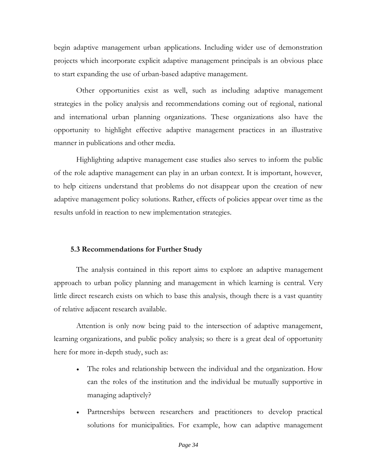begin adaptive management urban applications. Including wider use of demonstration projects which incorporate explicit adaptive management principals is an obvious place to start expanding the use of urban-based adaptive management.

Other opportunities exist as well, such as including adaptive management strategies in the policy analysis and recommendations coming out of regional, national and international urban planning organizations. These organizations also have the opportunity to highlight effective adaptive management practices in an illustrative manner in publications and other media.

Highlighting adaptive management case studies also serves to inform the public of the role adaptive management can play in an urban context. It is important, however, to help citizens understand that problems do not disappear upon the creation of new adaptive management policy solutions. Rather, effects of policies appear over time as the results unfold in reaction to new implementation strategies.

## <span id="page-37-0"></span>**5.3 Recommendations for Further Study**

The analysis contained in this report aims to explore an adaptive management approach to urban policy planning and management in which learning is central. Very little direct research exists on which to base this analysis, though there is a vast quantity of relative adjacent research available.

Attention is only now being paid to the intersection of adaptive management, learning organizations, and public policy analysis; so there is a great deal of opportunity here for more in-depth study, such as:

- The roles and relationship between the individual and the organization. How can the roles of the institution and the individual be mutually supportive in managing adaptively?
- Partnerships between researchers and practitioners to develop practical solutions for municipalities. For example, how can adaptive management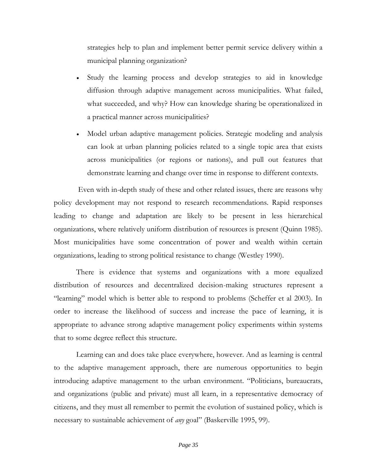strategies help to plan and implement better permit service delivery within a municipal planning organization?

- Study the learning process and develop strategies to aid in knowledge diffusion through adaptive management across municipalities. What failed, what succeeded, and why? How can knowledge sharing be operationalized in a practical manner across municipalities?
- Model urban adaptive management policies. Strategic modeling and analysis can look at urban planning policies related to a single topic area that exists across municipalities (or regions or nations), and pull out features that demonstrate learning and change over time in response to different contexts.

Even with in-depth study of these and other related issues, there are reasons why policy development may not respond to research recommendations. Rapid responses leading to change and adaptation are likely to be present in less hierarchical organizations, where relatively uniform distribution of resources is present (Quinn 1985). Most municipalities have some concentration of power and wealth within certain organizations, leading to strong political resistance to change (Westley 1990).

There is evidence that systems and organizations with a more equalized distribution of resources and decentralized decision-making structures represent a "learning" model which is better able to respond to problems (Scheffer et al 2003). In order to increase the likelihood of success and increase the pace of learning, it is appropriate to advance strong adaptive management policy experiments within systems that to some degree reflect this structure.

Learning can and does take place everywhere, however. And as learning is central to the adaptive management approach, there are numerous opportunities to begin introducing adaptive management to the urban environment. "Politicians, bureaucrats, and organizations (public and private) must all learn, in a representative democracy of citizens, and they must all remember to permit the evolution of sustained policy, which is necessary to sustainable achievement of *any* goal" (Baskerville 1995, 99).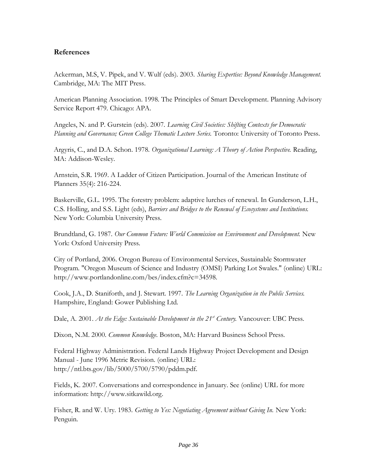## <span id="page-39-0"></span>**References**

Ackerman, M.S, V. Pipek, and V. Wulf (eds). 2003. *Sharing Expertise: Beyond Knowledge Management.* Cambridge, MA: The MIT Press.

American Planning Association. 1998. The Principles of Smart Development. Planning Advisory Service Report 479. Chicago: APA.

Angeles, N. and P. Gurstein (eds). 2007. *Learning Civil Societies: Shifting Contexts for Democratic Planning and Governance; Green College Thematic Lecture Series.* Toronto: University of Toronto Press.

Argyris, C., and D.A. Schon. 1978. *Organizational Learning: A Theory of Action Perspective.* Reading, MA: Addison-Wesley.

Arnstein, S.R. 1969. A Ladder of Citizen Participation. Journal of the American Institute of Planners 35(4): 216-224.

Baskerville, G.L. 1995. The forestry problem: adaptive lurches of renewal. In Gunderson, L.H., C.S. Holling, and S.S. Light (eds), *Barriers and Bridges to the Renewal of Ecosystems and Institutions.* New York: Columbia University Press.

Brundtland, G. 1987. *Our Common Future: World Commission on Environment and Development.* New York: Oxford University Press.

City of Portland, 2006. Oregon Bureau of Environmental Services, Sustainable Stormwater Program. "Oregon Museum of Science and Industry (OMSI) Parking Lot Swales." (online) URL: http://www.portlandonline.com/bes/index.cfm?c=34598.

Cook, J.A., D. Staniforth, and J. Stewart. 1997. *The Learning Organization in the Public Services.* Hampshire, England: Gower Publishing Ltd.

Dale, A. 2001. *At the Edge: Sustainable Development in the 21st Century.* Vancouver: UBC Press.

Dixon, N.M. 2000. *Common Knowledge.* Boston, MA: Harvard Business School Press.

Federal Highway Administration. Federal Lands Highway Project Development and Design Manual - June 1996 Metric Revision. (online) URL: http://ntl.bts.gov/lib/5000/5700/5790/pddm.pdf.

Fields, K. 2007. Conversations and correspondence in January. See (online) URL for more information: http://www.sitkawild.org.

Fisher, R. and W. Ury. 1983. *Getting to Yes: Negotiating Agreement without Giving In.* New York: Penguin.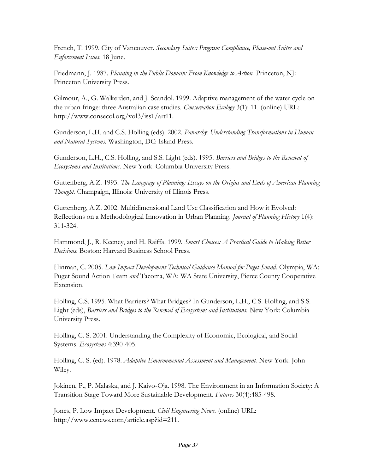French, T. 1999. City of Vancouver. *Secondary Suites: Program Compliance, Phase-out Suites and Enforcement Issues*. 18 June.

Friedmann, J. 1987. *Planning in the Public Domain: From Knowledge to Action.* Princeton, NJ: Princeton University Press.

Gilmour, A., G. Walkerden, and J. Scandol. 1999. Adaptive management of the water cycle on the urban fringe: three Australian case studies. *Conservation Ecology* 3(1): 11. (online) URL: http://www.consecol.org/vol3/iss1/art11.

Gunderson, L.H. and C.S. Holling (eds). 2002. *Panarchy: Understanding Transformations in Human and Natural Systems.* Washington, DC: Island Press.

Gunderson, L.H., C.S. Holling, and S.S. Light (eds). 1995. *Barriers and Bridges to the Renewal of Ecosystems and Institutions.* New York: Columbia University Press.

Guttenberg, A.Z. 1993. *The Language of Planning: Essays on the Origins and Ends of American Planning Thought.* Champaign, Illinois: University of Illinois Press.

Guttenberg, A.Z. 2002. Multidimensional Land Use Classification and How it Evolved: Reflections on a Methodological Innovation in Urban Planning. *Journal of Planning History* 1(4): 311-324.

Hammond, J., R. Keeney, and H. Raiffa. 1999. *Smart Choices: A Practical Guide to Making Better Decisions.* Boston: Harvard Business School Press.

Hinman, C. 2005. *Low Impact Development Technical Guidance Manual for Puget Sound.* Olympia, WA: Puget Sound Action Team *and* Tacoma, WA: WA State University, Pierce County Cooperative Extension.

Holling, C.S. 1995. What Barriers? What Bridges? In Gunderson, L.H., C.S. Holling, and S.S. Light (eds), *Barriers and Bridges to the Renewal of Ecosystems and Institutions.* New York: Columbia University Press.

Holling, C. S. 2001. Understanding the Complexity of Economic, Ecological, and Social Systems. *Ecosystems* 4:390-405.

Holling, C. S. (ed). 1978. *Adaptive Environmental Assessment and Management.* New York: John Wiley.

Jokinen, P., P. Malaska, and J. Kaivo-Oja. 1998. The Environment in an Information Society: A Transition Stage Toward More Sustainable Development. *Futures* 30(4):485-498.

Jones, P. Low Impact Development. *Civil Engineering News.* (online) URL: http://www.cenews.com/article.asp?id=211.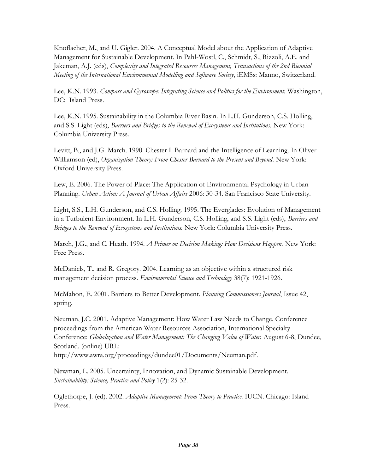Knoflacher, M., and U. Gigler. 2004. A Conceptual Model about the Application of Adaptive Management for Sustainable Development. In Pahl-Wostl, C., Schmidt, S., Rizzoli, A.E. and Jakeman, A.J. (eds), *Complexity and Integrated Resources Management, Transactions of the 2nd Biennial Meeting of the International Environmental Modelling and Software Society*, iEMSs: Manno, Switzerland.

Lee, K.N. 1993. *Compass and Gyroscope: Integrating Science and Politics for the Environment.* Washington, DC: Island Press.

Lee, K.N. 1995. Sustainability in the Columbia River Basin. In L.H. Gunderson, C.S. Holling, and S.S. Light (eds), *Barriers and Bridges to the Renewal of Ecosystems and Institutions.* New York: Columbia University Press.

Levitt, B., and J.G. March. 1990. Chester I. Barnard and the Intelligence of Learning. In Oliver Williamson (ed), *Organization Theory: From Chester Barnard to the Present and Beyond*. New York: Oxford University Press.

Lew, E. 2006. The Power of Place: The Application of Environmental Psychology in Urban Planning. *Urban Action: A Journal of Urban Affairs* 2006: 30-34. San Francisco State University.

Light, S.S., L.H. Gunderson, and C.S. Holling. 1995. The Everglades: Evolution of Management in a Turbulent Environment. In L.H. Gunderson, C.S. Holling, and S.S. Light (eds), *Barriers and Bridges to the Renewal of Ecosystems and Institutions.* New York: Columbia University Press.

March, J.G., and C. Heath. 1994. *A Primer on Decision Making: How Decisions Happen.* New York: Free Press.

McDaniels, T., and R. Gregory. 2004. Learning as an objective within a structured risk management decision process. *Environmental Science and Technology* 38(7): 1921-1926.

McMahon, E. 2001. Barriers to Better Development. *Planning Commissioners Journal*, Issue 42, spring.

Neuman, J.C. 2001. Adaptive Management: How Water Law Needs to Change. Conference proceedings from the American Water Resources Association, International Specialty Conference: *Globalization and Water Management: The Changing Value of Water.* August 6-8, Dundee, Scotland. (online) URL:

http://www.awra.org/proceedings/dundee01/Documents/Neuman.pdf.

Newman, L. 2005. Uncertainty, Innovation, and Dynamic Sustainable Development. *Sustainability: Science, Practice and Policy* 1(2): 25-32.

Oglethorpe, J. (ed). 2002. *Adaptive Management: From Theory to Practice.* IUCN. Chicago: Island Press.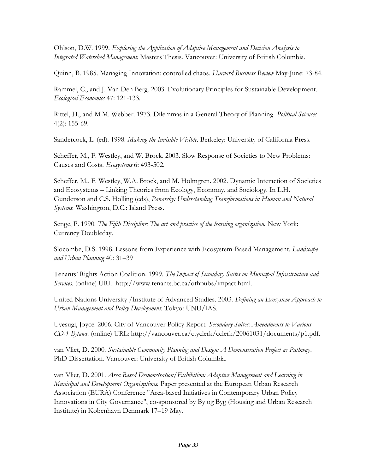Ohlson, D.W. 1999. *Exploring the Application of Adaptive Management and Decision Analysis to Integrated Watershed Management.* Masters Thesis. Vancouver: University of British Columbia.

Quinn, B. 1985. Managing Innovation: controlled chaos. *Harvard Business Review* May-June: 73-84.

Rammel, C., and J. Van Den Berg. 2003. Evolutionary Principles for Sustainable Development. *Ecological Economics* 47: 121-133.

Rittel, H., and M.M. Webber. 1973. Dilemmas in a General Theory of Planning. *Political Sciences*  4(2): 155-69.

Sandercock, L. (ed). 1998. *Making the Invisible Visible.* Berkeley: University of California Press.

Scheffer, M., F. Westley, and W. Brock. 2003. Slow Response of Societies to New Problems: Causes and Costs. *Ecosystems* 6: 493-502.

Scheffer, M., F. Westley, W.A. Brock, and M. Holmgren. 2002. Dynamic Interaction of Societies and Ecosystems – Linking Theories from Ecology, Economy, and Sociology. In L.H. Gunderson and C.S. Holling (eds), *Panarchy: Understanding Transformations in Human and Natural Systems.* Washington, D.C.: Island Press.

Senge, P. 1990. *The Fifth Discipline: The art and practice of the learning organization.* New York: Currency Doubleday.

Slocombe, D.S. 1998. Lessons from Experience with Ecosystem-Based Management. *Landscape and Urban Planning* 40: 31–39

Tenants' Rights Action Coalition. 1999. *The Impact of Secondary Suites on Municipal Infrastructure and Services.* (online) URL: http://www.tenants.bc.ca/othpubs/impact.html.

United Nations University /Institute of Advanced Studies. 2003. *Defining an Ecosystem Approach to Urban Management and Policy Development.* Tokyo: UNU/IAS.

Uyesugi, Joyce. 2006. City of Vancouver Policy Report. *Secondary Suites: Amendments to Various CD-1 Bylaws.* (online) URL: http://vancouver.ca/ctyclerk/cclerk/20061031/documents/p1.pdf.

van Vliet, D. 2000. *Sustainable Community Planning and Design: A Demonstration Project as Pathway*. PhD Dissertation. Vancouver: University of British Columbia.

van Vliet, D. 2001. *Area Based Demonstration/Exhibition: Adaptive Management and Learning in Municipal and Development Organizations.* Paper presented at the European Urban Research Association (EURA) Conference "Area-based Initiatives in Contemporary Urban Policy Innovations in City Governance", co-sponsored by By og Byg (Housing and Urban Research Institute) in København Denmark 17–19 May.